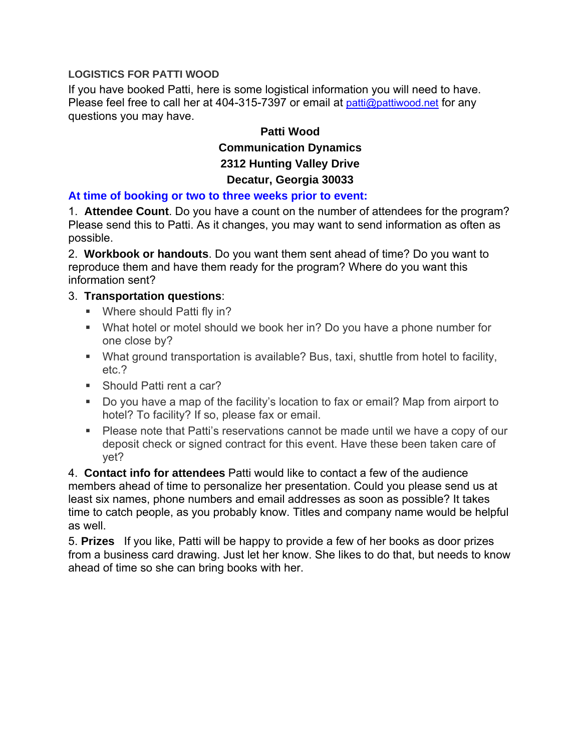### **LOGISTICS FOR PATTI WOOD**

If you have booked Patti, here is some logistical information you will need to have. Please feel free to call her at 404-315-7397 or email at patti@pattiwood.net for any questions you may have.

# **Patti Wood Communication Dynamics 2312 Hunting Valley Drive Decatur, Georgia 30033**

### **At time of booking or two to three weeks prior to event:**

1. **Attendee Count**. Do you have a count on the number of attendees for the program? Please send this to Patti. As it changes, you may want to send information as often as possible.

2. **Workbook or handouts**. Do you want them sent ahead of time? Do you want to reproduce them and have them ready for the program? Where do you want this information sent?

### 3. **Transportation questions**:

- **Where should Patti fly in?**
- **What hotel or motel should we book her in? Do you have a phone number for** one close by?
- What ground transportation is available? Bus, taxi, shuttle from hotel to facility, etc.?
- Should Patti rent a car?
- **Do you have a map of the facility's location to fax or email? Map from airport to** hotel? To facility? If so, please fax or email.
- **Please note that Patti's reservations cannot be made until we have a copy of our** deposit check or signed contract for this event. Have these been taken care of yet?

4. **Contact info for attendees** Patti would like to contact a few of the audience members ahead of time to personalize her presentation. Could you please send us at least six names, phone numbers and email addresses as soon as possible? It takes time to catch people, as you probably know. Titles and company name would be helpful as well.

5. **Prizes** If you like, Patti will be happy to provide a few of her books as door prizes from a business card drawing. Just let her know. She likes to do that, but needs to know ahead of time so she can bring books with her.